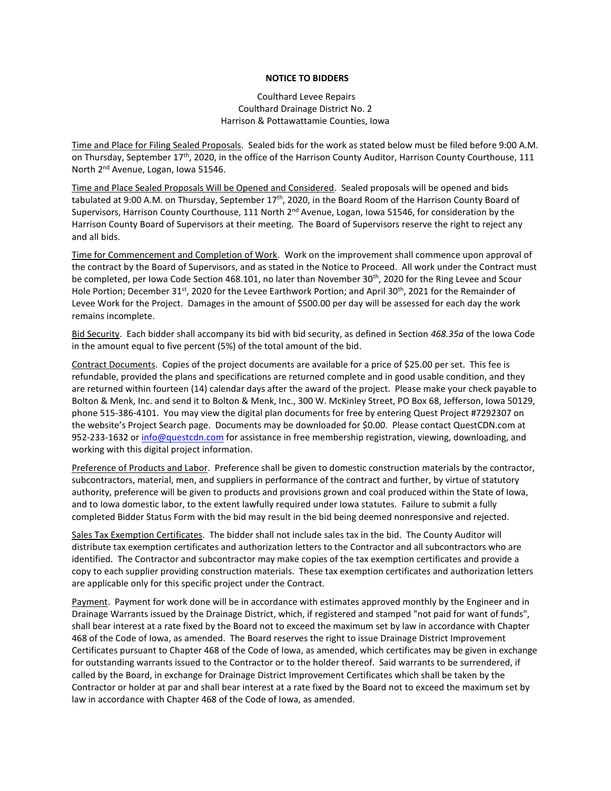## **NOTICE TO BIDDERS**

## Coulthard Levee Repairs Coulthard Drainage District No. 2 Harrison & Pottawattamie Counties, Iowa

Time and Place for Filing Sealed Proposals. Sealed bids for the work as stated below must be filed before 9:00 A.M. on Thursday, September 17<sup>th</sup>, 2020, in the office of the Harrison County Auditor, Harrison County Courthouse, 111 North 2nd Avenue, Logan, Iowa 51546.

Time and Place Sealed Proposals Will be Opened and Considered. Sealed proposals will be opened and bids tabulated at 9:00 A.M. on Thursday, September 17<sup>th</sup>, 2020, in the Board Room of the Harrison County Board of Supervisors, Harrison County Courthouse, 111 North 2<sup>nd</sup> Avenue, Logan, Iowa 51546, for consideration by the Harrison County Board of Supervisors at their meeting. The Board of Supervisors reserve the right to reject any and all bids.

Time for Commencement and Completion of Work. Work on the improvement shall commence upon approval of the contract by the Board of Supervisors, and as stated in the Notice to Proceed. All work under the Contract must be completed, per Iowa Code Section 468.101, no later than November 30<sup>th</sup>, 2020 for the Ring Levee and Scour Hole Portion; December 31<sup>st</sup>, 2020 for the Levee Earthwork Portion; and April 30<sup>th</sup>, 2021 for the Remainder of Levee Work for the Project. Damages in the amount of \$500.00 per day will be assessed for each day the work remains incomplete.

Bid Security. Each bidder shall accompany its bid with bid security, as defined in Section *468.35a* of the Iowa Code in the amount equal to five percent (5%) of the total amount of the bid.

Contract Documents. Copies of the project documents are available for a price of \$25.00 per set. This fee is refundable, provided the plans and specifications are returned complete and in good usable condition, and they are returned within fourteen (14) calendar days after the award of the project. Please make your check payable to Bolton & Menk, Inc. and send it to Bolton & Menk, Inc., 300 W. McKinley Street, PO Box 68, Jefferson, Iowa 50129, phone 515-386-4101. You may view the digital plan documents for free by entering Quest Project #7292307 on the website's Project Search page. Documents may be downloaded for \$0.00. Please contact QuestCDN.com at 952-233-1632 or [info@questcdn.com](mailto:info@questcdn.com) for assistance in free membership registration, viewing, downloading, and working with this digital project information.

Preference of Products and Labor. Preference shall be given to domestic construction materials by the contractor, subcontractors, material, men, and suppliers in performance of the contract and further, by virtue of statutory authority, preference will be given to products and provisions grown and coal produced within the State of Iowa, and to Iowa domestic labor, to the extent lawfully required under Iowa statutes. Failure to submit a fully completed Bidder Status Form with the bid may result in the bid being deemed nonresponsive and rejected.

Sales Tax Exemption Certificates. The bidder shall not include sales tax in the bid. The County Auditor will distribute tax exemption certificates and authorization letters to the Contractor and all subcontractors who are identified. The Contractor and subcontractor may make copies of the tax exemption certificates and provide a copy to each supplier providing construction materials. These tax exemption certificates and authorization letters are applicable only for this specific project under the Contract.

Payment. Payment for work done will be in accordance with estimates approved monthly by the Engineer and in Drainage Warrants issued by the Drainage District, which, if registered and stamped "not paid for want of funds", shall bear interest at a rate fixed by the Board not to exceed the maximum set by law in accordance with Chapter 468 of the Code of Iowa, as amended. The Board reserves the right to issue Drainage District Improvement Certificates pursuant to Chapter 468 of the Code of Iowa, as amended, which certificates may be given in exchange for outstanding warrants issued to the Contractor or to the holder thereof. Said warrants to be surrendered, if called by the Board, in exchange for Drainage District Improvement Certificates which shall be taken by the Contractor or holder at par and shall bear interest at a rate fixed by the Board not to exceed the maximum set by law in accordance with Chapter 468 of the Code of Iowa, as amended.